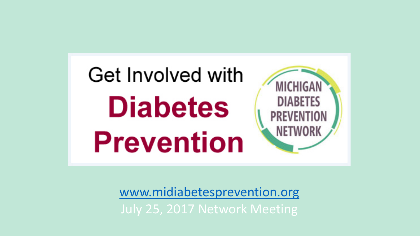

[www.midiabetesprevention.org](http://www.midiabetesprevention.org/) July 25, 2017 Network Meeting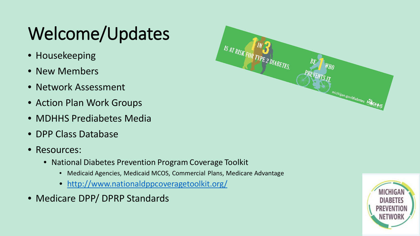## Welcome/Updates

- Housekeeping
- New Members
- Network Assessment
- Action Plan Work Groups
- MDHHS Prediabetes Media
- DPP Class Database
- Resources:
	- National Diabetes Prevention Program Coverage Toolkit
		- Medicaid Agencies, Medicaid MCOS, Commercial Plans, Medicare Advantage
		- <http://www.nationaldppcoveragetoolkit.org/>
- Medicare DPP/ DPRP Standards



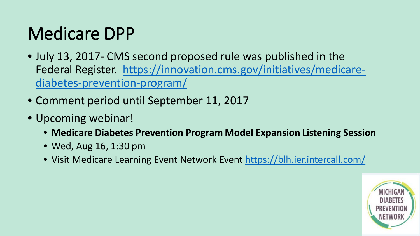## Medicare DPP

- July 13, 2017- CMS second proposed rule was published in the Federal Register. [https://innovation.cms.gov/initiatives/medicare](https://innovation.cms.gov/initiatives/medicare-diabetes-prevention-program/)diabetes-prevention-program/
- Comment period until September 11, 2017
- Upcoming webinar!
	- **Medicare Diabetes Prevention Program Model Expansion Listening Session**
	- Wed, Aug 16, 1:30 pm
	- Visit Medicare Learning Event Network Event<https://blh.ier.intercall.com/>

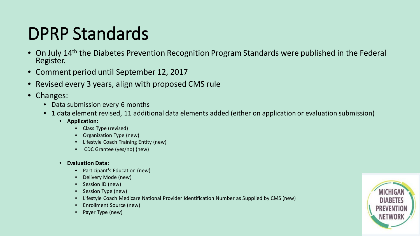## DPRP Standards

- On July 14<sup>th</sup> the Diabetes Prevention Recognition Program Standards were published in the Federal Register.
- Comment period until September 12, 2017
- Revised every 3 years, align with proposed CMS rule
- Changes:
	- Data submission every 6 months
	- 1 data element revised, 11 additional data elements added (either on application or evaluation submission)
		- **Application:**
			- Class Type (revised)
			- Organization Type (new)
			- Lifestyle Coach Training Entity (new)
			- CDC Grantee (yes/no) (new)
		- **Evaluation Data:**
			- Participant's Education (new)
			- Delivery Mode (new)
			- Session ID (new)
			- Session Type (new)
			- Lifestyle Coach Medicare National Provider Identification Number as Supplied by CMS (new)
			- Enrollment Source (new)
			- Payer Type (new)